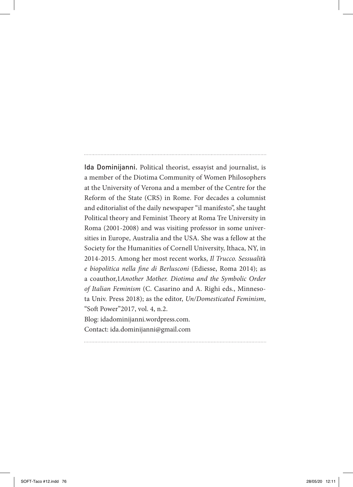Ida Dominijanni. Political theorist, essayist and journalist, is a member of the Diotima Community of Women Philosophers at the University of Verona and a member of the Centre for the Reform of the State (CRS) in Rome. For decades a columnist and editorialist of the daily newspaper "il manifesto", she taught Political theory and Feminist Theory at Roma Tre University in Roma (2001-2008) and was visiting professor in some universities in Europe, Australia and the USA. She was a fellow at the Society for the Humanities of Cornell University, Ithaca, NY, in 2014-2015. Among her most recent works, *Il Trucco. Sessualit*à *e biopolitica nella fine di Berlusconi* (Ediesse, Roma 2014); as a coauthor,1*Another Mother. Diotima and the Symbolic Order of Italian Feminism* (C. Casarino and A. Righi eds., Minnesota Univ. Press 2018); as the editor, *Un/Domesticated Feminism*, "Soft Power"2017, vol. 4, n.2. Blog: idadominijanni.wordpress.com.

Contact: ida.dominijanni@gmail.com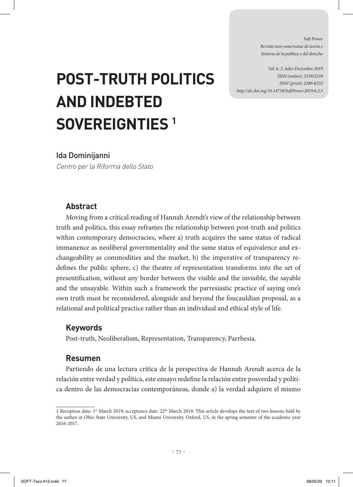*Soft Power Revista euro-americana de teoría e historia de la política y del derecho* 

*Vol. 6, 2. Julio-Diciembre 2019 ISSN (online): 2539/2239 ISSN (print): 2389-8232 http://dx.doi.org/10.14718/SoftPower.2019.6.2.5*

# **POST-TRUTH POLITICS AND INDEBTED SOVEREIGNTIES 1**

#### Ida Dominijanni

Centro per la Riforma dello Stato

## **Abstract**

Moving from a critical reading of Hannah Arendt's view of the relationship between truth and politics, this essay reframes the relationship between post-truth and politics within contemporary democracies, where a) truth acquires the same status of radical immanence as neoliberal governmentality and the same status of equivalence and exchangeability as commodities and the market, b) the imperative of transparency redefines the public sphere, c) the theatre of representation transforms into the set of presentification, without any border between the visible and the invisible, the sayable and the unsayable. Within such a framework the parresiastic practice of saying one's own truth must be reconsidered, alongside and beyond the foucauldian proposal, as a relational and political practice rather than an individual and ethical style of life.

## **Keywords**

Post-truth, Neoliberalism, Representation, Transparency, Parrhesia.

## **Resumen**

Partiendo de una lectura crítica de la perspectiva de Hannah Arendt acerca de la relación entre verdad y política, este ensayo redefine la relación entre posverdad y política dentro de las democracias contemporáneas, donde a) la verdad adquiere el mismo

<sup>1</sup> Reception date: 1<sup>st</sup> March 2019; acceptance date: 22<sup>th</sup> March 2019. This article develops the text of two lessons held by the author at Ohio State University, US, and Miami University, Oxford, US, in the spring semester of the academic year 2016-2017.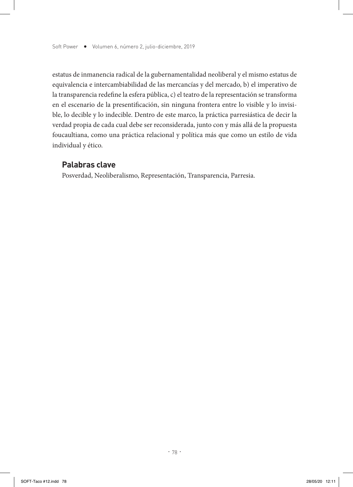estatus de inmanencia radical de la gubernamentalidad neoliberal y el mismo estatus de equivalencia e intercambiabilidad de las mercancías y del mercado, b) el imperativo de la transparencia redefine la esfera pública, c) el teatro de la representación se transforma en el escenario de la presentificación, sin ninguna frontera entre lo visible y lo invisible, lo decible y lo indecible. Dentro de este marco, la práctica parresiástica de decir la verdad propia de cada cual debe ser reconsiderada, junto con y más allá de la propuesta foucaultiana, como una práctica relacional y política más que como un estilo de vida individual y ético.

#### **Palabras clave**

Posverdad, Neoliberalismo, Representación, Transparencia, Parresia.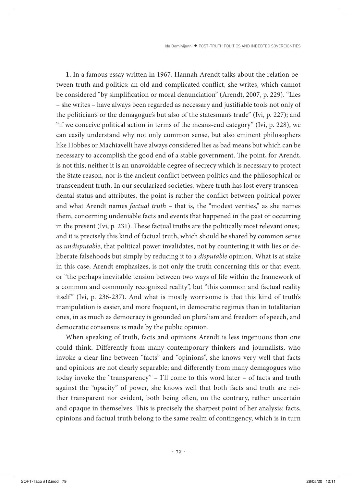**1.** In a famous essay written in 1967, Hannah Arendt talks about the relation between truth and politics: an old and complicated conflict, she writes, which cannot be considered "by simplification or moral denunciation" (Arendt, 2007, p. 229). "Lies – she writes – have always been regarded as necessary and justifiable tools not only of the politician's or the demagogue's but also of the statesman's trade" (Ivi, p. 227); and "if we conceive political action in terms of the means-end category" (Ivi, p. 228), we can easily understand why not only common sense, but also eminent philosophers like Hobbes or Machiavelli have always considered lies as bad means but which can be necessary to accomplish the good end of a stable government. The point, for Arendt, is not this; neither it is an unavoidable degree of secrecy which is necessary to protect the State reason, nor is the ancient conflict between politics and the philosophical or transcendent truth. In our secularized societies, where truth has lost every transcendental status and attributes, the point is rather the conflict between political power and what Arendt names *factual truth –* that is, the "modest verities," as she names them, concerning undeniable facts and events that happened in the past or occurring in the present (Ivi, p. 231). These factual truths are the politically most relevant ones;. and it is precisely this kind of factual truth, which should be shared by common sense as *undisputable*, that political power invalidates, not by countering it with lies or deliberate falsehoods but simply by reducing it to a *disputable* opinion. What is at stake in this case, Arendt emphasizes, is not only the truth concerning this or that event, or "the perhaps inevitable tension between two ways of life within the framework of a common and commonly recognized reality", but "this common and factual reality itself" (Ivi, p. 236-237). And what is mostly worrisome is that this kind of truth's manipulation is easier, and more frequent, in democratic regimes than in totalitarian ones, in as much as democracy is grounded on pluralism and freedom of speech, and democratic consensus is made by the public opinion.

When speaking of truth, facts and opinions Arendt is less ingenuous than one could think. Differently from many contemporary thinkers and journalists, who invoke a clear line between "facts" and "opinions", she knows very well that facts and opinions are not clearly separable; and differently from many demagogues who today invoke the "transparency" – I'll come to this word later – of facts and truth against the "opacity" of power, she knows well that both facts and truth are neither transparent nor evident, both being often, on the contrary, rather uncertain and opaque in themselves. This is precisely the sharpest point of her analysis: facts, opinions and factual truth belong to the same realm of contingency, which is in turn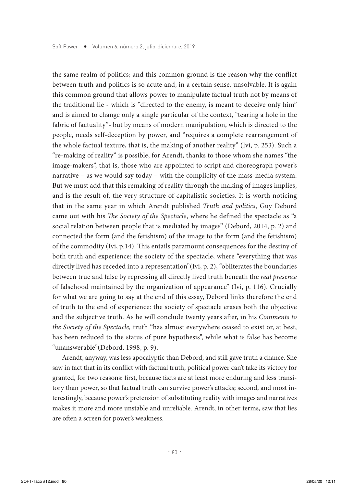the same realm of politics; and this common ground is the reason why the conflict between truth and politics is so acute and, in a certain sense, unsolvable. It is again this common ground that allows power to manipulate factual truth not by means of the traditional lie - which is "directed to the enemy, is meant to deceive only him" and is aimed to change only a single particular of the context, "tearing a hole in the fabric of factuality"- but by means of modern manipulation, which is directed to the people, needs self-deception by power, and "requires a complete rearrangement of the whole factual texture, that is, the making of another reality" (Ivi, p. 253). Such a "re-making of reality" is possible, for Arendt, thanks to those whom she names "the image-makers", that is, those who are appointed to script and choreograph power's narrative – as we would say today – with the complicity of the mass-media system. But we must add that this remaking of reality through the making of images implies, and is the result of, the very structure of capitalistic societies. It is worth noticing that in the same year in which Arendt published *Truth and politics*, Guy Debord came out with his *The Society of the Spectacle*, where he defined the spectacle as "a social relation between people that is mediated by images" (Debord, 2014, p. 2) and connected the form (and the fetishism) of the image to the form (and the fetishism) of the commodity (Ivi, p.14). This entails paramount consequences for the destiny of both truth and experience: the society of the spectacle, where "everything that was directly lived has receded into a representation"(Ivi, p. 2), "obliterates the boundaries between true and false by repressing all directly lived truth beneath the *real presence* of falsehood maintained by the organization of appearance" (Ivi, p. 116). Crucially for what we are going to say at the end of this essay, Debord links therefore the end of truth to the end of experience: the society of spectacle erases both the objective and the subjective truth. As he will conclude twenty years after, in his *Comments to the Society of the Spectacle,* truth "has almost everywhere ceased to exist or, at best, has been reduced to the status of pure hypothesis", while what is false has become "unanswerable"(Debord, 1998, p. 9).

Arendt, anyway, was less apocalyptic than Debord, and still gave truth a chance. She saw in fact that in its conflict with factual truth, political power can't take its victory for granted, for two reasons: first, because facts are at least more enduring and less transitory than power, so that factual truth can survive power's attacks; second, and most interestingly, because power's pretension of substituting reality with images and narratives makes it more and more unstable and unreliable. Arendt, in other terms, saw that lies are often a screen for power's weakness.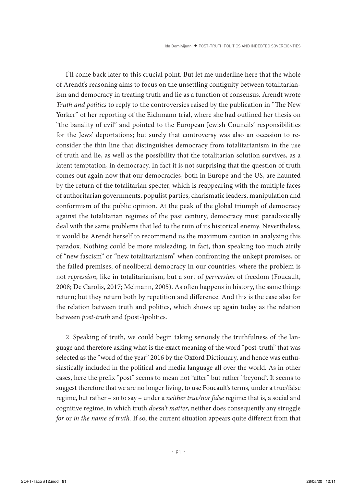I'll come back later to this crucial point. But let me underline here that the whole of Arendt's reasoning aims to focus on the unsettling contiguity between totalitarianism and democracy in treating truth and lie as a function of consensus. Arendt wrote *Truth and politics* to reply to the controversies raised by the publication in "The New Yorker" of her reporting of the Eichmann trial, where she had outlined her thesis on "the banality of evil" and pointed to the European Jewish Councils' responsibilities for the Jews' deportations; but surely that controversy was also an occasion to reconsider the thin line that distinguishes democracy from totalitarianism in the use of truth and lie, as well as the possibility that the totalitarian solution survives, as a latent temptation, in democracy. In fact it is not surprising that the question of truth comes out again now that our democracies, both in Europe and the US, are haunted by the return of the totalitarian specter, which is reappearing with the multiple faces of authoritarian governments, populist parties, charismatic leaders, manipulation and conformism of the public opinion. At the peak of the global triumph of democracy against the totalitarian regimes of the past century, democracy must paradoxically deal with the same problems that led to the ruin of its historical enemy. Nevertheless, it would be Arendt herself to recommend us the maximum caution in analyzing this paradox. Nothing could be more misleading, in fact, than speaking too much airily of "new fascism" or "new totalitarianism" when confronting the unkept promises, or the failed premises, of neoliberal democracy in our countries, where the problem is not *repression*, like in totalitarianism, but a sort of *perversion* of freedom (Foucault, 2008; De Carolis, 2017; Melmann, 2005). As often happens in history, the same things return; but they return both by repetition and difference. And this is the case also for the relation between truth and politics, which shows up again today as the relation between *post-truth* and (post-)politics.

2. Speaking of truth, we could begin taking seriously the truthfulness of the language and therefore asking what is the exact meaning of the word "post-truth" that was selected as the "word of the year" 2016 by the Oxford Dictionary, and hence was enthusiastically included in the political and media language all over the world. As in other cases, here the prefix "post" seems to mean not "after" but rather "beyond". It seems to suggest therefore that we are no longer living, to use Foucault's terms, under a true/false regime, but rather – so to say – under a *neither true/nor false* regime: that is, a social and cognitive regime, in which truth *doesn't matter*, neither does consequently any struggle *for or in the name of truth.* If so, the current situation appears quite different from that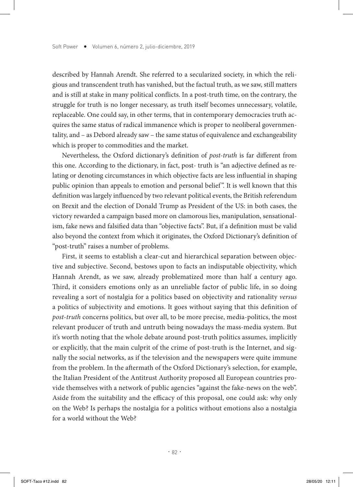described by Hannah Arendt. She referred to a secularized society, in which the religious and transcendent truth has vanished, but the factual truth, as we saw, still matters and is still at stake in many political conflicts. In a post-truth time, on the contrary, the struggle for truth is no longer necessary, as truth itself becomes unnecessary, volatile, replaceable. One could say, in other terms, that in contemporary democracies truth acquires the same status of radical immanence which is proper to neoliberal governmentality, and – as Debord already saw – the same status of equivalence and exchangeability which is proper to commodities and the market.

Nevertheless, the Oxford dictionary's definition of *post-truth* is far different from this one. According to the dictionary, in fact, post- truth is "an adjective defined as relating or denoting circumstances in which objective facts are less influential in shaping public opinion than appeals to emotion and personal belief ". It is well known that this definition was largely influenced by two relevant political events, the British referendum on Brexit and the election of Donald Trump as President of the US: in both cases, the victory rewarded a campaign based more on clamorous lies, manipulation, sensationalism, fake news and falsified data than "objective facts". But, if a definition must be valid also beyond the context from which it originates, the Oxford Dictionary's definition of "post-truth" raises a number of problems.

First, it seems to establish a clear-cut and hierarchical separation between objective and subjective. Second, bestows upon to facts an indisputable objectivity, which Hannah Arendt, as we saw, already problematized more than half a century ago. Third, it considers emotions only as an unreliable factor of public life, in so doing revealing a sort of nostalgia for a politics based on objectivity and rationality *versus*  a politics of subjectivity and emotions. It goes without saying that this definition of *post-truth* concerns politics, but over all, to be more precise, media-politics, the most relevant producer of truth and untruth being nowadays the mass-media system. But it's worth noting that the whole debate around post-truth politics assumes, implicitly or explicitly, that the main culprit of the crime of post-truth is the Internet, and signally the social networks, as if the television and the newspapers were quite immune from the problem. In the aftermath of the Oxford Dictionary's selection, for example, the Italian President of the Antitrust Authority proposed all European countries provide themselves with a network of public agencies "against the fake-news on the web". Aside from the suitability and the efficacy of this proposal, one could ask: why only on the Web? Is perhaps the nostalgia for a politics without emotions also a nostalgia for a world without the Web?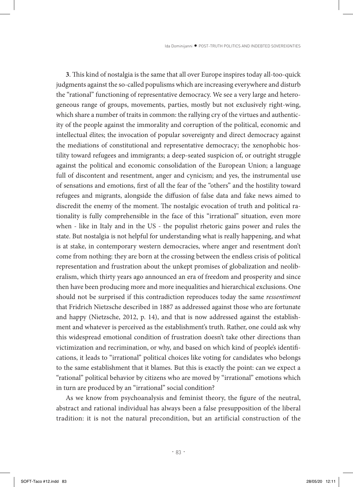**3**. This kind of nostalgia is the same that all over Europe inspires today all-too-quick judgments against the so-called populisms which are increasing everywhere and disturb the "rational" functioning of representative democracy. We see a very large and heterogeneous range of groups, movements, parties, mostly but not exclusively right-wing, which share a number of traits in common: the rallying cry of the virtues and authenticity of the people against the immorality and corruption of the political, economic and intellectual élites; the invocation of popular sovereignty and direct democracy against the mediations of constitutional and representative democracy; the xenophobic hostility toward refugees and immigrants; a deep-seated suspicion of, or outright struggle against the political and economic consolidation of the European Union; a language full of discontent and resentment, anger and cynicism; and yes, the instrumental use of sensations and emotions, first of all the fear of the "others" and the hostility toward refugees and migrants, alongside the diffusion of false data and fake news aimed to discredit the enemy of the moment. The nostalgic evocation of truth and political rationality is fully comprehensible in the face of this "irrational" situation, even more when - like in Italy and in the US - the populist rhetoric gains power and rules the state. But nostalgia is not helpful for understanding what is really happening, and what is at stake, in contemporary western democracies, where anger and resentment don't come from nothing: they are born at the crossing between the endless crisis of political representation and frustration about the unkept promises of globalization and neoliberalism, which thirty years ago announced an era of freedom and prosperity and since then have been producing more and more inequalities and hierarchical exclusions. One should not be surprised if this contradiction reproduces today the same *ressentiment* that Fridrich Nietzsche described in 1887 as addressed against those who are fortunate and happy (Nietzsche, 2012, p. 14), and that is now addressed against the establishment and whatever is perceived as the establishment's truth. Rather, one could ask why this widespread emotional condition of frustration doesn't take other directions than victimization and recrimination, or why, and based on which kind of people's identifications, it leads to "irrational" political choices like voting for candidates who belongs to the same establishment that it blames. But this is exactly the point: can we expect a "rational" political behavior by citizens who are moved by "irrational" emotions which in turn are produced by an "irrational" social condition?

As we know from psychoanalysis and feminist theory, the figure of the neutral, abstract and rational individual has always been a false presupposition of the liberal tradition: it is not the natural precondition, but an artificial construction of the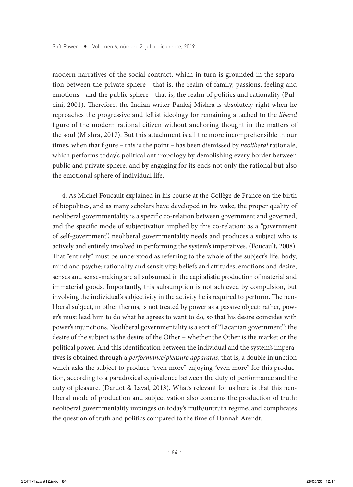modern narratives of the social contract, which in turn is grounded in the separation between the private sphere - that is, the realm of family, passions, feeling and emotions - and the public sphere - that is, the realm of politics and rationality (Pulcini, 2001). Therefore, the Indian writer Pankaj Mishra is absolutely right when he reproaches the progressive and leftist ideology for remaining attached to the *liberal*  figure of the modern rational citizen without anchoring thought in the matters of the soul (Mishra, 2017). But this attachment is all the more incomprehensible in our times, when that figure – this is the point – has been dismissed by *neoliberal* rationale, which performs today's political anthropology by demolishing every border between public and private sphere, and by engaging for its ends not only the rational but also the emotional sphere of individual life.

4. As Michel Foucault explained in his course at the Collège de France on the birth of biopolitics, and as many scholars have developed in his wake, the proper quality of neoliberal governmentality is a specific co-relation between government and governed, and the specific mode of subjectivation implied by this co-relation: as a "government of self-government", neoliberal governmentality needs and produces a subject who is actively and entirely involved in performing the system's imperatives. (Foucault, 2008). That "entirely" must be understood as referring to the whole of the subject's life: body, mind and psyche; rationality and sensitivity; beliefs and attitudes, emotions and desire, senses and sense-making are all subsumed in the capitalistic production of material and immaterial goods. Importantly, this subsumption is not achieved by compulsion, but involving the individual's subjectivity in the activity he is required to perform. The neoliberal subject, in other therms, is not treated by power as a passive object: rather, power's must lead him to do what he agrees to want to do, so that his desire coincides with power's injunctions. Neoliberal governmentality is a sort of "Lacanian government": the desire of the subject is the desire of the Other – whether the Other is the market or the political power. And this identification between the individual and the system's imperatives is obtained through a *performance/pleasure apparatus*, that is, a double injunction which asks the subject to produce "even more" enjoying "even more" for this production, according to a paradoxical equivalence between the duty of performance and the duty of pleasure. (Dardot & Laval, 2013). What's relevant for us here is that this neoliberal mode of production and subjectivation also concerns the production of truth: neoliberal governmentality impinges on today's truth/untruth regime, and complicates the question of truth and politics compared to the time of Hannah Arendt.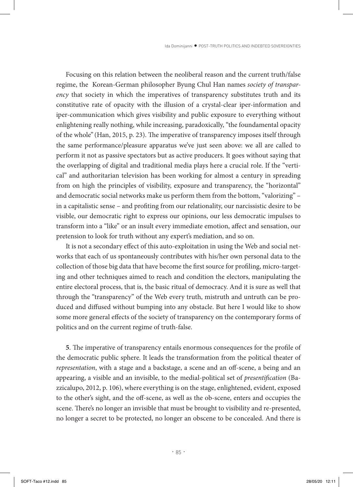Focusing on this relation between the neoliberal reason and the current truth/false regime, the Korean-German philosopher Byung Chul Han names *society of transparency* that society in which the imperatives of transparency substitutes truth and its constitutive rate of opacity with the illusion of a crystal-clear iper-information and iper-communication which gives visibility and public exposure to everything without enlightening really nothing, while increasing, paradoxically, "the foundamental opacity of the whole" (Han, 2015, p. 23). The imperative of transparency imposes itself through the same performance/pleasure apparatus we've just seen above: we all are called to perform it not as passive spectators but as active producers. It goes without saying that the overlapping of digital and traditional media plays here a crucial role. If the "vertical" and authoritarian television has been working for almost a century in spreading from on high the principles of visibility, exposure and transparency, the "horizontal" and democratic social networks make us perform them from the bottom, "valorizing" – in a capitalistic sense – and profiting from our relationality, our narcissistic desire to be visible, our democratic right to express our opinions, our less democratic impulses to transform into a "like" or an insult every immediate emotion, affect and sensation, our pretension to look for truth without any expert's mediation, and so on.

It is not a secondary effect of this auto-exploitation in using the Web and social networks that each of us spontaneously contributes with his/her own personal data to the collection of those big data that have become the first source for profiling, micro-targeting and other techniques aimed to reach and condition the electors, manipulating the entire electoral process, that is, the basic ritual of democracy. And it is sure as well that through the "transparency" of the Web every truth, mistruth and untruth can be produced and diffused without bumping into any obstacle. But here I would like to show some more general effects of the society of transparency on the contemporary forms of politics and on the current regime of truth-false.

**5**. The imperative of transparency entails enormous consequences for the profile of the democratic public sphere. It leads the transformation from the political theater of *representation*, with a stage and a backstage, a scene and an off-scene, a being and an appearing, a visible and an invisible, to the medial-political set of *presentification* (Bazzicalupo, 2012, p. 106), where everything is on the stage, enlightened, evident, exposed to the other's sight, and the off-scene, as well as the ob-scene, enters and occupies the scene. There's no longer an invisible that must be brought to visibility and re-presented, no longer a secret to be protected, no longer an obscene to be concealed. And there is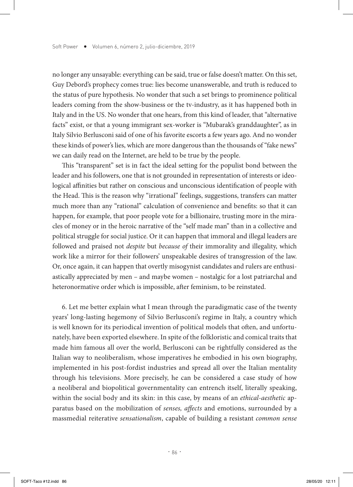no longer any unsayable: everything can be said, true or false doesn't matter. On this set, Guy Debord's prophecy comes true: lies become unanswerable, and truth is reduced to the status of pure hypothesis. No wonder that such a set brings to prominence political leaders coming from the show-business or the tv-industry, as it has happened both in Italy and in the US. No wonder that one hears, from this kind of leader, that "alternative facts" exist, or that a young immigrant sex-worker is "Mubarak's granddaughter", as in Italy Silvio Berlusconi said of one of his favorite escorts a few years ago. And no wonder these kinds of power's lies, which are more dangerous than the thousands of "fake news" we can daily read on the Internet, are held to be true by the people.

This "transparent" set is in fact the ideal setting for the populist bond between the leader and his followers, one that is not grounded in representation of interests or ideological affinities but rather on conscious and unconscious identification of people with the Head. This is the reason why "irrational" feelings, suggestions, transfers can matter much more than any "rational" calculation of convenience and benefits: so that it can happen, for example, that poor people vote for a billionaire, trusting more in the miracles of money or in the heroic narrative of the "self made man" than in a collective and political struggle for social justice. Or it can happen that immoral and illegal leaders are followed and praised not *despite* but *because of* their immorality and illegality, which work like a mirror for their followers' unspeakable desires of transgression of the law. Or, once again, it can happen that overtly misogynist candidates and rulers are enthusiastically appreciated by men – and maybe women – nostalgic for a lost patriarchal and heteronormative order which is impossible, after feminism, to be reinstated.

6. Let me better explain what I mean through the paradigmatic case of the twenty years' long-lasting hegemony of Silvio Berlusconi's regime in Italy, a country which is well known for its periodical invention of political models that often, and unfortunately, have been exported elsewhere. In spite of the folkloristic and comical traits that made him famous all over the world, Berlusconi can be rightfully considered as the Italian way to neoliberalism, whose imperatives he embodied in his own biography, implemented in his post-fordist industries and spread all over the Italian mentality through his televisions. More precisely, he can be considered a case study of how a neoliberal and biopolitical governmentality can entrench itself, literally speaking, within the social body and its skin: in this case, by means of an *ethical-aesthetic* apparatus based on the mobilization of *senses, affects* and emotions, surrounded by a massmedial reiterative *sensationalism*, capable of building a resistant *common sense*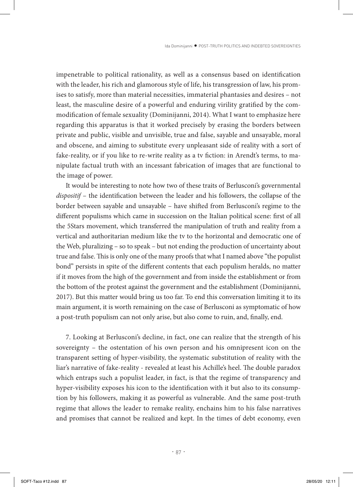impenetrable to political rationality, as well as a consensus based on identification with the leader, his rich and glamorous style of life, his transgression of law, his promises to satisfy, more than material necessities, immaterial phantasies and desires – not least, the masculine desire of a powerful and enduring virility gratified by the commodification of female sexuality (Dominijanni, 2014). What I want to emphasize here regarding this apparatus is that it worked precisely by erasing the borders between private and public, visible and unvisible, true and false, sayable and unsayable, moral and obscene, and aiming to substitute every unpleasant side of reality with a sort of fake-reality, or if you like to re-write reality as a tv fiction: in Arendt's terms, to manipulate factual truth with an incessant fabrication of images that are functional to the image of power.

It would be interesting to note how two of these traits of Berlusconi's governmental *dispositif* – the identification between the leader and his followers, the collapse of the border between sayable and unsayable – have shifted from Berlusconi's regime to the different populisms which came in succession on the Italian political scene: first of all the 5Stars movement, which transferred the manipulation of truth and reality from a vertical and authoritarian medium like the tv to the horizontal and democratic one of the Web, pluralizing – so to speak – but not ending the production of uncertainty about true and false. This is only one of the many proofs that what I named above "the populist bond" persists in spite of the different contents that each populism heralds, no matter if it moves from the high of the government and from inside the establishment or from the bottom of the protest against the government and the establishment (Dominijanni, 2017). But this matter would bring us too far. To end this conversation limiting it to its main argument, it is worth remaining on the case of Berlusconi as symptomatic of how a post-truth populism can not only arise, but also come to ruin, and, finally, end.

7. Looking at Berlusconi's decline, in fact, one can realize that the strength of his sovereignty – the ostentation of his own person and his omnipresent icon on the transparent setting of hyper-visibility, the systematic substitution of reality with the liar's narrative of fake-reality - revealed at least his Achille's heel. The double paradox which entraps such a populist leader, in fact, is that the regime of transparency and hyper-visibility exposes his icon to the identification with it but also to its consumption by his followers, making it as powerful as vulnerable. And the same post-truth regime that allows the leader to remake reality, enchains him to his false narratives and promises that cannot be realized and kept. In the times of debt economy, even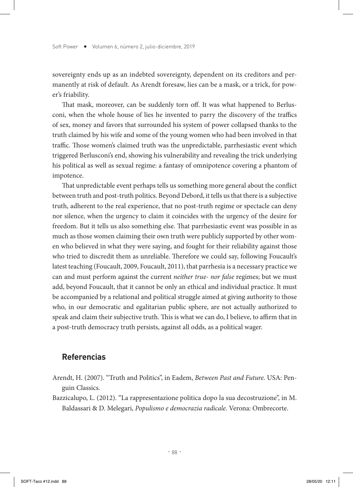sovereignty ends up as an indebted sovereignty, dependent on its creditors and permanently at risk of default. As Arendt foresaw, lies can be a mask, or a trick, for power's friability.

That mask, moreover, can be suddenly torn off. It was what happened to Berlusconi, when the whole house of lies he invented to parry the discovery of the traffics of sex, money and favors that surrounded his system of power collapsed thanks to the truth claimed by his wife and some of the young women who had been involved in that traffic. Those women's claimed truth was the unpredictable, parrhesiastic event which triggered Berlusconi's end, showing his vulnerability and revealing the trick underlying his political as well as sexual regime: a fantasy of omnipotence covering a phantom of impotence.

That unpredictable event perhaps tells us something more general about the conflict between truth and post-truth politics. Beyond Debord, it tells us that there is a subjective truth, adherent to the real experience, that no post-truth regime or spectacle can deny nor silence, when the urgency to claim it coincides with the urgency of the desire for freedom. But it tells us also something else. That parrhesiastic event was possible in as much as those women claiming their own truth were publicly supported by other women who believed in what they were saying, and fought for their reliability against those who tried to discredit them as unreliable. Therefore we could say, following Foucault's latest teaching (Foucault, 2009, Foucault, 2011), that parrhesia is a necessary practice we can and must perform against the current *neither true- nor false* regimes; but we must add, beyond Foucault, that it cannot be only an ethical and individual practice. It must be accompanied by a relational and political struggle aimed at giving authority to those who, in our democratic and egalitarian public sphere, are not actually authorized to speak and claim their subjective truth. This is what we can do, I believe, to affirm that in a post-truth democracy truth persists, against all odds, as a political wager.

#### **Referencias**

- Arendt, H. (2007). "Truth and Politics", in Eadem, *Between Past and Future*. USA: Penguin Classics.
- Bazzicalupo, L. (2012). "La rappresentazione politica dopo la sua decostruzione", in M. Baldassari & D. Melegari, *Populismo e democrazia radicale*. Verona: Ombrecorte.